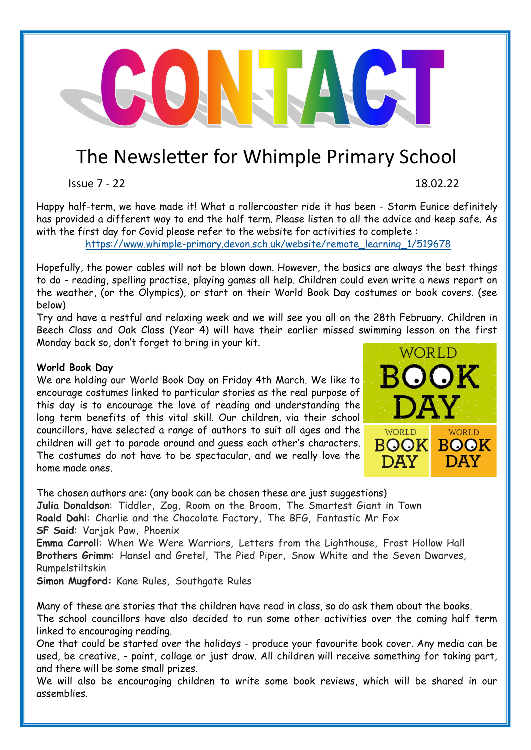## The Newsletter for Whimple Primary School

 $\mathbf{L}$ 

Issue 7 - 22 18.02.22

Happy half-term, we have made it! What a rollercoaster ride it has been - Storm Eunice definitely has provided a different way to end the half term. Please listen to all the advice and keep safe. As with the first day for Covid please refer to the website for activities to complete :

https://www.whimple-[primary.devon.sch.uk/website/remote\\_learning\\_1/519678](https://www.whimple-primary.devon.sch.uk/website/remote_learning_1/519678)

Hopefully, the power cables will not be blown down. However, the basics are always the best things to do - reading, spelling practise, playing games all help. Children could even write a news report on the weather, (or the Olympics), or start on their World Book Day costumes or book covers. (see below)

Try and have a restful and relaxing week and we will see you all on the 28th February. Children in Beech Class and Oak Class (Year 4) will have their earlier missed swimming lesson on the first Monday back so, don't forget to bring in your kit.

## **World Book Day**

We are holding our World Book Day on Friday 4th March. We like to encourage costumes linked to particular stories as the real purpose of this day is to encourage the love of reading and understanding the long term benefits of this vital skill. Our children, via their school councillors, have selected a range of authors to suit all ages and the children will get to parade around and guess each other's characters. The costumes do not have to be spectacular, and we really love the home made ones.



The chosen authors are: (any book can be chosen these are just suggestions) **Julia Donaldson**: Tiddler, Zog, Room on the Broom, The Smartest Giant in Town **Roald Dahl**: Charlie and the Chocolate Factory, The BFG, Fantastic Mr Fox **SF Said**: Varjak Paw, Phoenix

**Emma Carroll**: When We Were Warriors, Letters from the Lighthouse, Frost Hollow Hall **Brothers Grimm**: Hansel and Gretel, The Pied Piper, Snow White and the Seven Dwarves, Rumpelstiltskin

**Simon Mugford:** Kane Rules, Southgate Rules

Many of these are stories that the children have read in class, so do ask them about the books. The school councillors have also decided to run some other activities over the coming half term linked to encouraging reading.

One that could be started over the holidays - produce your favourite book cover. Any media can be used, be creative, - paint, collage or just draw. All children will receive something for taking part, and there will be some small prizes.

We will also be encouraging children to write some book reviews, which will be shared in our assemblies.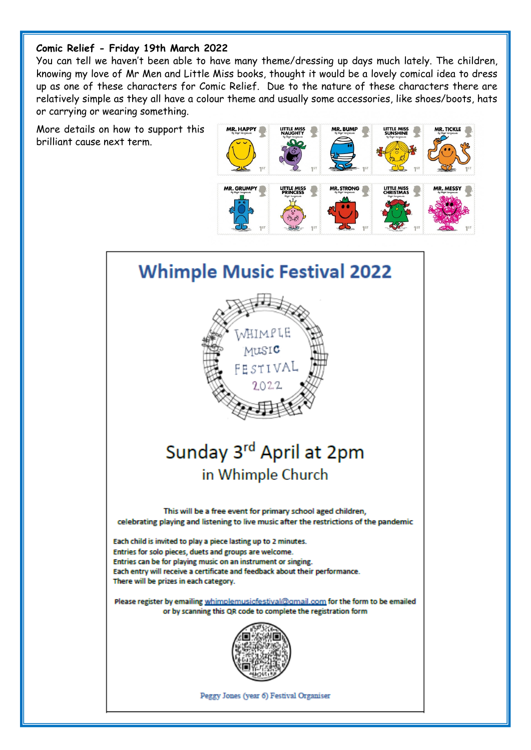## **Comic Relief - Friday 19th March 2022**

You can tell we haven't been able to have many theme/dressing up days much lately. The children, knowing my love of Mr Men and Little Miss books, thought it would be a lovely comical idea to dress up as one of these characters for Comic Relief. Due to the nature of these characters there are relatively simple as they all have a colour theme and usually some accessories, like shoes/boots, hats or carrying or wearing something.

More details on how to support this brilliant cause next term.